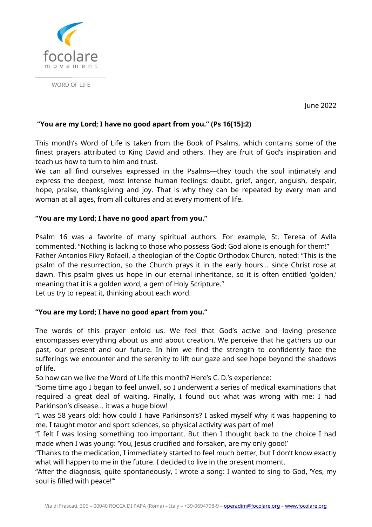

WORD OF LIFE

June 2022

## **"You are my Lord; I have no good apart from you." (Ps 16[15]:2)**

This month's Word of Life is taken from the Book of Psalms, which contains some of the finest prayers attributed to King David and others. They are fruit of God's inspiration and teach us how to turn to him and trust.

We can all find ourselves expressed in the Psalms—they touch the soul intimately and express the deepest, most intense human feelings: doubt, grief, anger, anguish, despair, hope, praise, thanksgiving and joy. That is why they can be repeated by every man and woman at all ages, from all cultures and at every moment of life.

## **"You are my Lord; I have no good apart from you."**

Psalm 16 was a favorite of many spiritual authors. For example, St. Teresa of Avila commented, "Nothing is lacking to those who possess God: God alone is enough for them!" Father Antonios Fikry Rofaeil, a theologian of the Coptic Orthodox Church, noted: "This is the psalm of the resurrection, so the Church prays it in the early hours... since Christ rose at dawn. This psalm gives us hope in our eternal inheritance, so it is often entitled 'golden,' meaning that it is a golden word, a gem of Holy Scripture." Let us try to repeat it, thinking about each word.

## **"You are my Lord; I have no good apart from you."**

The words of this prayer enfold us. We feel that God's active and loving presence encompasses everything about us and about creation. We perceive that he gathers up our past, our present and our future. In him we find the strength to confidently face the sufferings we encounter and the serenity to lift our gaze and see hope beyond the shadows of life.

So how can we live the Word of Life this month? Here's C. D.'s experience:

"Some time ago I began to feel unwell, so I underwent a series of medical examinations that required a great deal of waiting. Finally, I found out what was wrong with me: I had Parkinson's disease... it was a huge blow!

"I was 58 years old: how could I have Parkinson's? I asked myself why it was happening to me. I taught motor and sport sciences, so physical activity was part of me!

"I felt I was losing something too important. But then I thought back to the choice I had made when I was young: 'You, Jesus crucified and forsaken, are my only good!'

"Thanks to the medication, I immediately started to feel much better, but I don't know exactly what will happen to me in the future. I decided to live in the present moment.

"After the diagnosis, quite spontaneously, I wrote a song: I wanted to sing to God, 'Yes, my soul is filled with peace!'"